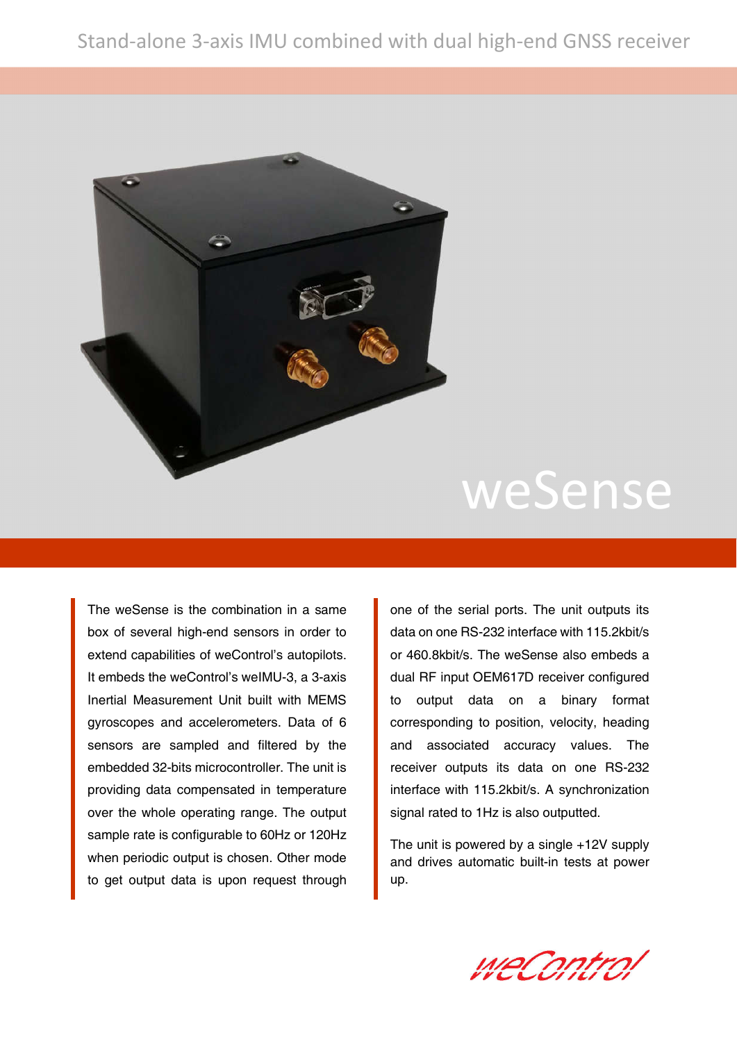

# weSense

The weSense is the combination in a same box of several high-end sensors in order to extend capabilities of weControl's autopilots. It embeds the weControl's weIMU-3, a 3-axis Inertial Measurement Unit built with MEMS gyroscopes and accelerometers. Data of 6 sensors are sampled and filtered by the embedded 32-bits microcontroller. The unit is providing data compensated in temperature over the whole operating range. The output sample rate is configurable to 60Hz or 120Hz when periodic output is chosen. Other mode to get output data is upon request through

one of the serial ports. The unit outputs its data on one RS-232 interface with 115.2kbit/s or 460.8kbit/s. The weSense also embeds a dual RF input OEM617D receiver configured to output data on a binary format corresponding to position, velocity, heading and associated accuracy values. The receiver outputs its data on one RS-232 interface with 115.2kbit/s. A synchronization signal rated to 1Hz is also outputted.

The unit is powered by a single +12V supply and drives automatic built-in tests at power up.